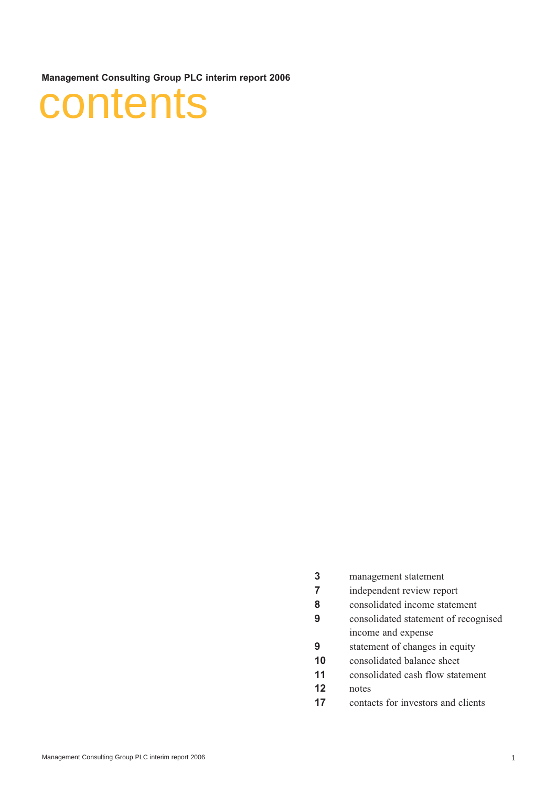**Management Consulting Group PLC interim report 2006**



- management statement
- independent review report
- consolidated income statement
- consolidated statement of recognised income and expense
- statement of changes in equity
- consolidated balance sheet
- consolidated cash flow statement
- notes
- contacts for investors and clients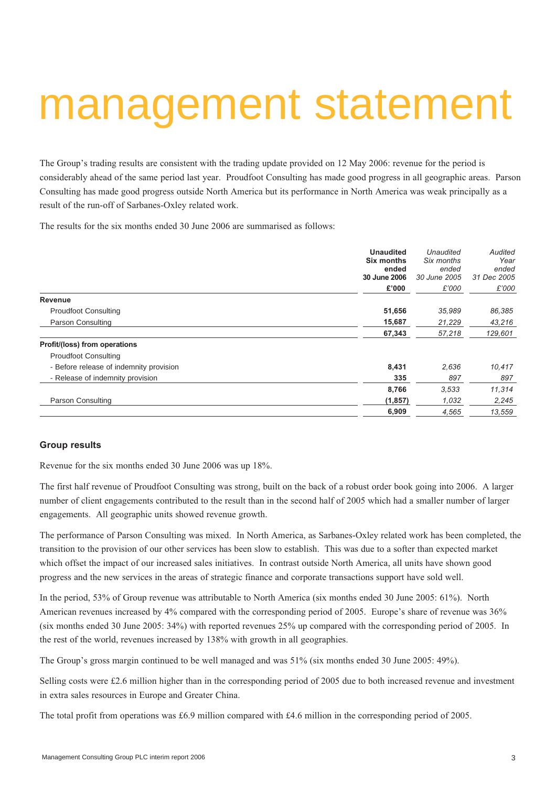# management statement

The Group's trading results are consistent with the trading update provided on 12 May 2006: revenue for the period is considerably ahead of the same period last year. Proudfoot Consulting has made good progress in all geographic areas. Parson Consulting has made good progress outside North America but its performance in North America was weak principally as a result of the run-off of Sarbanes-Oxley related work.

The results for the six months ended 30 June 2006 are summarised as follows:

|                                         | <b>Unaudited</b><br>Six months<br>ended<br>30 June 2006 | Unaudited<br>Six months<br>ended<br>30 June 2005 | Audited<br>Year<br>ended<br>31 Dec 2005 |
|-----------------------------------------|---------------------------------------------------------|--------------------------------------------------|-----------------------------------------|
|                                         | £'000                                                   | £'000                                            | £'000                                   |
| Revenue                                 |                                                         |                                                  |                                         |
| <b>Proudfoot Consulting</b>             | 51,656                                                  | 35,989                                           | 86,385                                  |
| Parson Consulting                       | 15,687                                                  | 21,229                                           | 43,216                                  |
|                                         | 67,343                                                  | 57,218                                           | 129,601                                 |
| Profit/(loss) from operations           |                                                         |                                                  |                                         |
| <b>Proudfoot Consulting</b>             |                                                         |                                                  |                                         |
| - Before release of indemnity provision | 8,431                                                   | 2,636                                            | 10,417                                  |
| - Release of indemnity provision        | 335                                                     | 897                                              | 897                                     |
|                                         | 8,766                                                   | 3.533                                            | 11,314                                  |
| Parson Consulting                       | (1, 857)                                                | 1,032                                            | 2,245                                   |
|                                         | 6,909                                                   | 4,565                                            | 13,559                                  |
|                                         |                                                         |                                                  |                                         |

### **Group results**

Revenue for the six months ended 30 June 2006 was up 18%.

The first half revenue of Proudfoot Consulting was strong, built on the back of a robust order book going into 2006. A larger number of client engagements contributed to the result than in the second half of 2005 which had a smaller number of larger engagements. All geographic units showed revenue growth.

The performance of Parson Consulting was mixed. In North America, as Sarbanes-Oxley related work has been completed, the transition to the provision of our other services has been slow to establish. This was due to a softer than expected market which offset the impact of our increased sales initiatives. In contrast outside North America, all units have shown good progress and the new services in the areas of strategic finance and corporate transactions support have sold well.

In the period, 53% of Group revenue was attributable to North America (six months ended 30 June 2005: 61%). North American revenues increased by 4% compared with the corresponding period of 2005. Europe's share of revenue was 36% (six months ended 30 June 2005: 34%) with reported revenues 25% up compared with the corresponding period of 2005. In the rest of the world, revenues increased by 138% with growth in all geographies.

The Group's gross margin continued to be well managed and was 51% (six months ended 30 June 2005: 49%).

Selling costs were £2.6 million higher than in the corresponding period of 2005 due to both increased revenue and investment in extra sales resources in Europe and Greater China.

The total profit from operations was £6.9 million compared with £4.6 million in the corresponding period of 2005.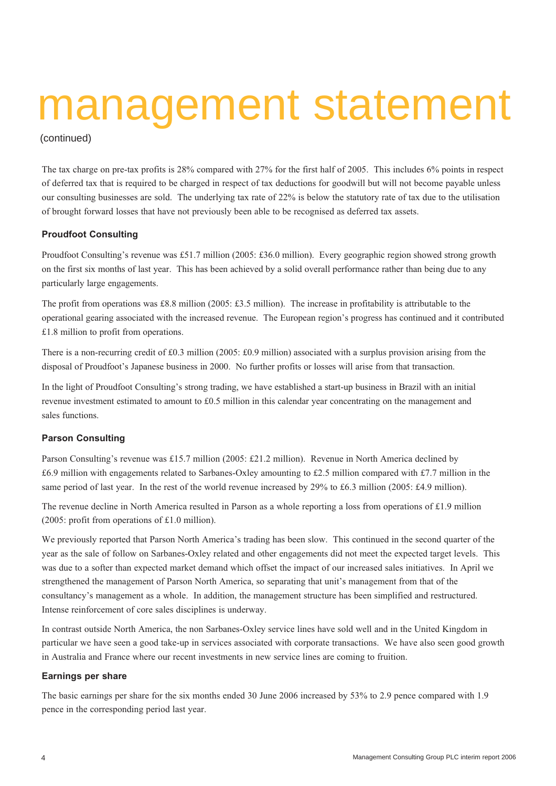# management statement

(continued)

The tax charge on pre-tax profits is 28% compared with 27% for the first half of 2005. This includes 6% points in respect of deferred tax that is required to be charged in respect of tax deductions for goodwill but will not become payable unless our consulting businesses are sold. The underlying tax rate of 22% is below the statutory rate of tax due to the utilisation of brought forward losses that have not previously been able to be recognised as deferred tax assets.

### **Proudfoot Consulting**

Proudfoot Consulting's revenue was £51.7 million (2005: £36.0 million). Every geographic region showed strong growth on the first six months of last year. This has been achieved by a solid overall performance rather than being due to any particularly large engagements.

The profit from operations was £8.8 million (2005: £3.5 million). The increase in profitability is attributable to the operational gearing associated with the increased revenue. The European region's progress has continued and it contributed £1.8 million to profit from operations.

There is a non-recurring credit of £0.3 million (2005: £0.9 million) associated with a surplus provision arising from the disposal of Proudfoot's Japanese business in 2000. No further profits or losses will arise from that transaction.

In the light of Proudfoot Consulting's strong trading, we have established a start-up business in Brazil with an initial revenue investment estimated to amount to £0.5 million in this calendar year concentrating on the management and sales functions.

### **Parson Consulting**

Parson Consulting's revenue was £15.7 million (2005: £21.2 million). Revenue in North America declined by £6.9 million with engagements related to Sarbanes-Oxley amounting to £2.5 million compared with £7.7 million in the same period of last year. In the rest of the world revenue increased by 29% to £6.3 million (2005: £4.9 million).

The revenue decline in North America resulted in Parson as a whole reporting a loss from operations of £1.9 million (2005: profit from operations of £1.0 million).

We previously reported that Parson North America's trading has been slow. This continued in the second quarter of the year as the sale of follow on Sarbanes-Oxley related and other engagements did not meet the expected target levels. This was due to a softer than expected market demand which offset the impact of our increased sales initiatives. In April we strengthened the management of Parson North America, so separating that unit's management from that of the consultancy's management as a whole. In addition, the management structure has been simplified and restructured. Intense reinforcement of core sales disciplines is underway.

In contrast outside North America, the non Sarbanes-Oxley service lines have sold well and in the United Kingdom in particular we have seen a good take-up in services associated with corporate transactions. We have also seen good growth in Australia and France where our recent investments in new service lines are coming to fruition.

### **Earnings per share**

The basic earnings per share for the six months ended 30 June 2006 increased by 53% to 2.9 pence compared with 1.9 pence in the corresponding period last year.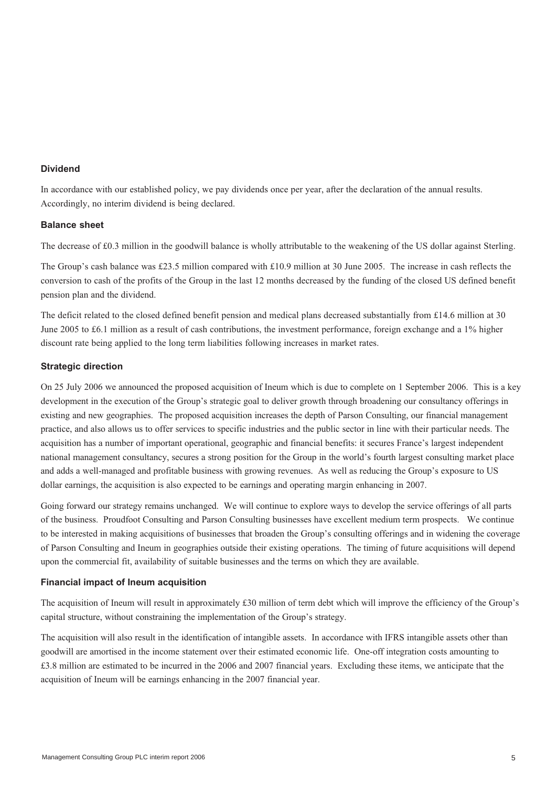### **Dividend**

In accordance with our established policy, we pay dividends once per year, after the declaration of the annual results. Accordingly, no interim dividend is being declared.

#### **Balance sheet**

The decrease of £0.3 million in the goodwill balance is wholly attributable to the weakening of the US dollar against Sterling.

The Group's cash balance was £23.5 million compared with £10.9 million at 30 June 2005. The increase in cash reflects the conversion to cash of the profits of the Group in the last 12 months decreased by the funding of the closed US defined benefit pension plan and the dividend.

The deficit related to the closed defined benefit pension and medical plans decreased substantially from £14.6 million at 30 June 2005 to £6.1 million as a result of cash contributions, the investment performance, foreign exchange and a 1% higher discount rate being applied to the long term liabilities following increases in market rates.

### **Strategic direction**

On 25 July 2006 we announced the proposed acquisition of Ineum which is due to complete on 1 September 2006. This is a key development in the execution of the Group's strategic goal to deliver growth through broadening our consultancy offerings in existing and new geographies. The proposed acquisition increases the depth of Parson Consulting, our financial management practice, and also allows us to offer services to specific industries and the public sector in line with their particular needs. The acquisition has a number of important operational, geographic and financial benefits: it secures France's largest independent national management consultancy, secures a strong position for the Group in the world's fourth largest consulting market place and adds a well-managed and profitable business with growing revenues. As well as reducing the Group's exposure to US dollar earnings, the acquisition is also expected to be earnings and operating margin enhancing in 2007.

Going forward our strategy remains unchanged. We will continue to explore ways to develop the service offerings of all parts of the business. Proudfoot Consulting and Parson Consulting businesses have excellent medium term prospects. We continue to be interested in making acquisitions of businesses that broaden the Group's consulting offerings and in widening the coverage of Parson Consulting and Ineum in geographies outside their existing operations. The timing of future acquisitions will depend upon the commercial fit, availability of suitable businesses and the terms on which they are available.

### **Financial impact of Ineum acquisition**

The acquisition of Ineum will result in approximately £30 million of term debt which will improve the efficiency of the Group's capital structure, without constraining the implementation of the Group's strategy.

The acquisition will also result in the identification of intangible assets. In accordance with IFRS intangible assets other than goodwill are amortised in the income statement over their estimated economic life. One-off integration costs amounting to £3.8 million are estimated to be incurred in the 2006 and 2007 financial years. Excluding these items, we anticipate that the acquisition of Ineum will be earnings enhancing in the 2007 financial year.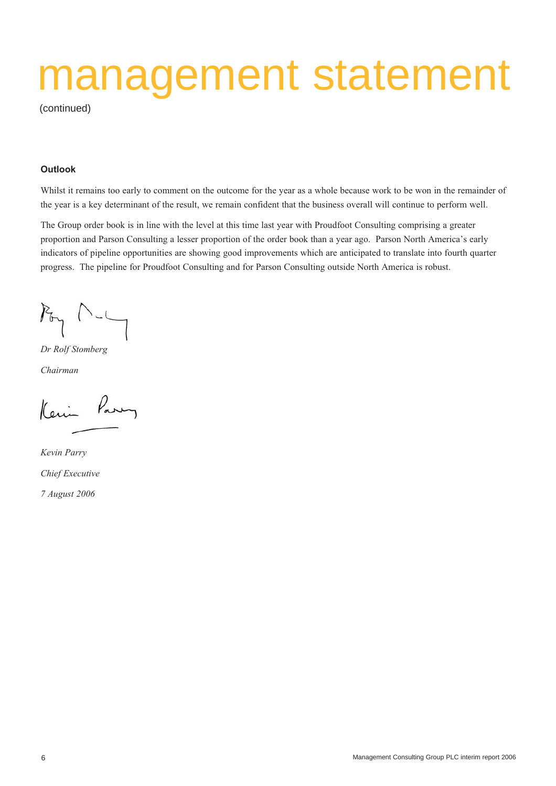## management statement

(continued)

### **Outlook**

Whilst it remains too early to comment on the outcome for the year as a whole because work to be won in the remainder of the year is a key determinant of the result, we remain confident that the business overall will continue to perform well.

The Group order book is in line with the level at this time last year with Proudfoot Consulting comprising a greater proportion and Parson Consulting a lesser proportion of the order book than a year ago. Parson North America's early indicators of pipeline opportunities are showing good improvements which are anticipated to translate into fourth quarter progress. The pipeline for Proudfoot Consulting and for Parson Consulting outside North America is robust.

 $P_{\rm try}$   $\wedge$ -

*Dr Rolf Stomberg Chairman*

Kerin Paring

*Kevin Parry Chief Executive 7 August 2006*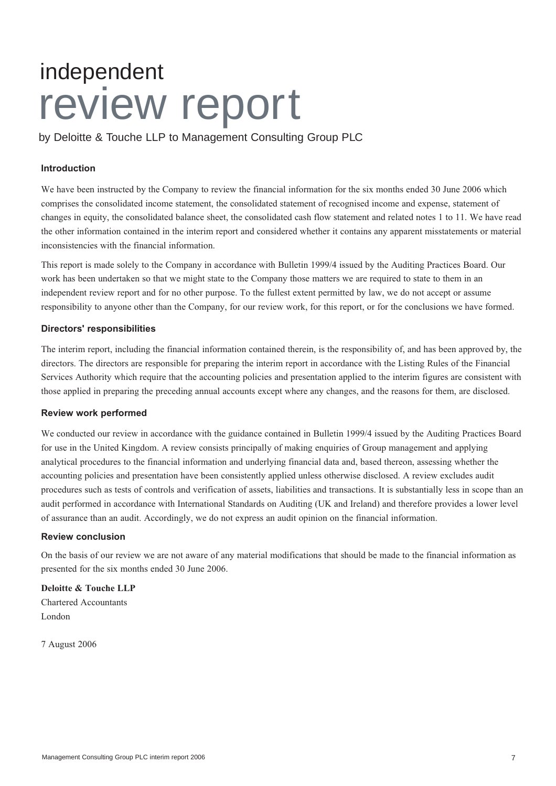## review report independent

by Deloitte & Touche LLP to Management Consulting Group PLC

### **Introduction**

We have been instructed by the Company to review the financial information for the six months ended 30 June 2006 which comprises the consolidated income statement, the consolidated statement of recognised income and expense, statement of changes in equity, the consolidated balance sheet, the consolidated cash flow statement and related notes 1 to 11. We have read the other information contained in the interim report and considered whether it contains any apparent misstatements or material inconsistencies with the financial information.

This report is made solely to the Company in accordance with Bulletin 1999/4 issued by the Auditing Practices Board. Our work has been undertaken so that we might state to the Company those matters we are required to state to them in an independent review report and for no other purpose. To the fullest extent permitted by law, we do not accept or assume responsibility to anyone other than the Company, for our review work, for this report, or for the conclusions we have formed.

### **Directors' responsibilities**

The interim report, including the financial information contained therein, is the responsibility of, and has been approved by, the directors. The directors are responsible for preparing the interim report in accordance with the Listing Rules of the Financial Services Authority which require that the accounting policies and presentation applied to the interim figures are consistent with those applied in preparing the preceding annual accounts except where any changes, and the reasons for them, are disclosed.

### **Review work performed**

We conducted our review in accordance with the guidance contained in Bulletin 1999/4 issued by the Auditing Practices Board for use in the United Kingdom. A review consists principally of making enquiries of Group management and applying analytical procedures to the financial information and underlying financial data and, based thereon, assessing whether the accounting policies and presentation have been consistently applied unless otherwise disclosed. A review excludes audit procedures such as tests of controls and verification of assets, liabilities and transactions. It is substantially less in scope than an audit performed in accordance with International Standards on Auditing (UK and Ireland) and therefore provides a lower level of assurance than an audit. Accordingly, we do not express an audit opinion on the financial information.

### **Review conclusion**

On the basis of our review we are not aware of any material modifications that should be made to the financial information as presented for the six months ended 30 June 2006.

### **Deloitte & Touche LLP**

Chartered Accountants London

7 August 2006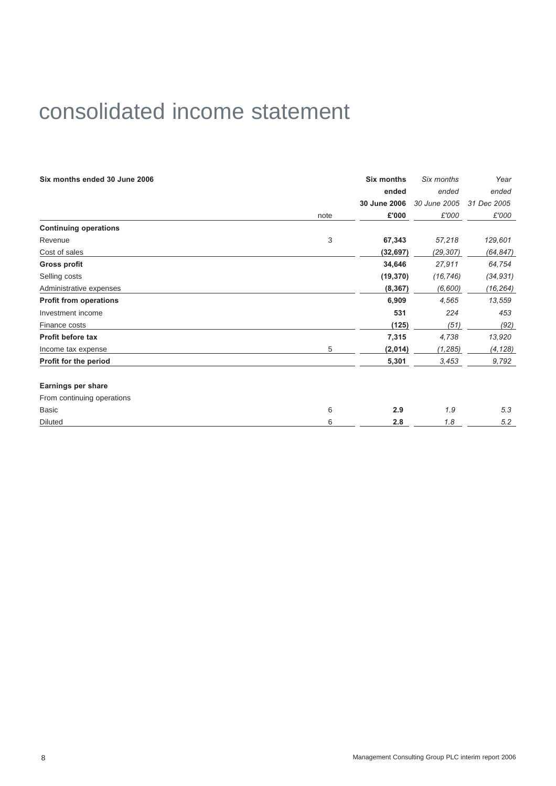### consolidated income statement

| Six months ended 30 June 2006 |      | Six months   | Six months   | Year        |
|-------------------------------|------|--------------|--------------|-------------|
|                               |      | ended        | ended        | ended       |
|                               |      | 30 June 2006 | 30 June 2005 | 31 Dec 2005 |
|                               | note | £'000        | £'000        | £'000       |
| <b>Continuing operations</b>  |      |              |              |             |
| Revenue                       | 3    | 67,343       | 57,218       | 129,601     |
| Cost of sales                 |      | (32, 697)    | (29,307)     | (64, 847)   |
| Gross profit                  |      | 34,646       | 27,911       | 64,754      |
| Selling costs                 |      | (19, 370)    | (16, 746)    | (34, 931)   |
| Administrative expenses       |      | (8, 367)     | (6,600)      | (16, 264)   |
| <b>Profit from operations</b> |      | 6,909        | 4,565        | 13,559      |
| Investment income             |      | 531          | 224          | 453         |
| Finance costs                 |      | (125)        | (51)         | (92)        |
| Profit before tax             |      | 7,315        | 4,738        | 13,920      |
| Income tax expense            | 5    | (2,014)      | (1, 285)     | (4, 128)    |
| Profit for the period         |      | 5,301        | 3,453        | 9,792       |
| <b>Earnings per share</b>     |      |              |              |             |
| From continuing operations    |      |              |              |             |
| <b>Basic</b>                  | 6    | 2.9          | 1.9          | 5.3         |
| <b>Diluted</b>                | 6    | 2.8          | 1.8          | 5.2         |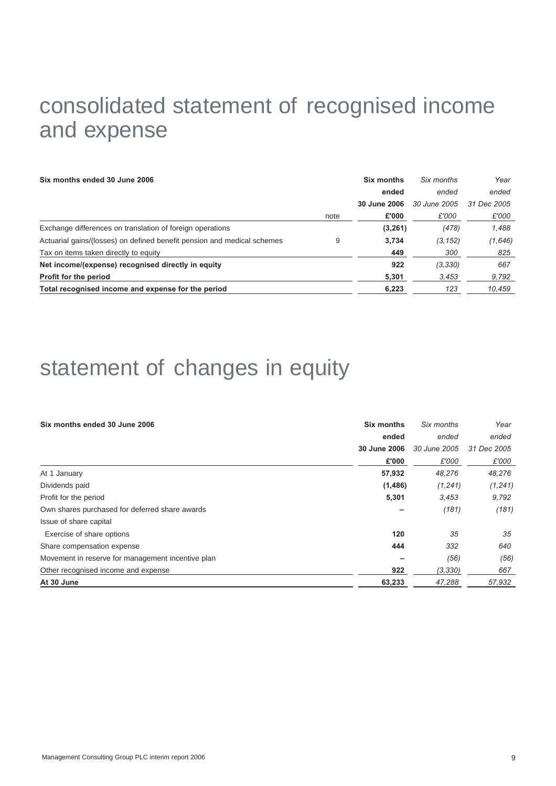### consolidated statement of recognised income and expense

| Six months ended 30 June 2006                                           |      | Six months   | Six months   | Year        |
|-------------------------------------------------------------------------|------|--------------|--------------|-------------|
|                                                                         |      | ended        | ended        | ended       |
|                                                                         |      | 30 June 2006 | 30 June 2005 | 31 Dec 2005 |
|                                                                         | note | £'000        | £'000        | £'000       |
| Exchange differences on translation of foreign operations               |      | (3,261)      | (478)        | 1,488       |
| Actuarial gains/(losses) on defined benefit pension and medical schemes | 9    | 3,734        | (3, 152)     | (1,646)     |
| Tax on items taken directly to equity                                   |      | 449          | 300          | 825         |
| Net income/(expense) recognised directly in equity                      |      | 922          | (3, 330)     | 667         |
| Profit for the period                                                   |      | 5,301        | 3,453        | 9,792       |
| Total recognised income and expense for the period                      |      | 6,223        | 123          | 10,459      |

### statement of changes in equity

| Six months ended 30 June 2006                     | Six months   | Six months   | Year        |
|---------------------------------------------------|--------------|--------------|-------------|
|                                                   | ended        | ended        | ended       |
|                                                   | 30 June 2006 | 30 June 2005 | 31 Dec 2005 |
|                                                   | £'000        | £'000        | £'000       |
| At 1 January                                      | 57,932       | 48,276       | 48,276      |
| Dividends paid                                    | (1,486)      | (1, 241)     | (1, 241)    |
| Profit for the period                             | 5,301        | 3,453        | 9,792       |
| Own shares purchased for deferred share awards    |              | (181)        | (181)       |
| Issue of share capital                            |              |              |             |
| Exercise of share options                         | 120          | 35           | 35          |
| Share compensation expense                        | 444          | 332          | 640         |
| Movement in reserve for management incentive plan |              | (56)         | (56)        |
| Other recognised income and expense               | 922          | (3, 330)     | 667         |
| At 30 June                                        | 63,233       | 47,288       | 57,932      |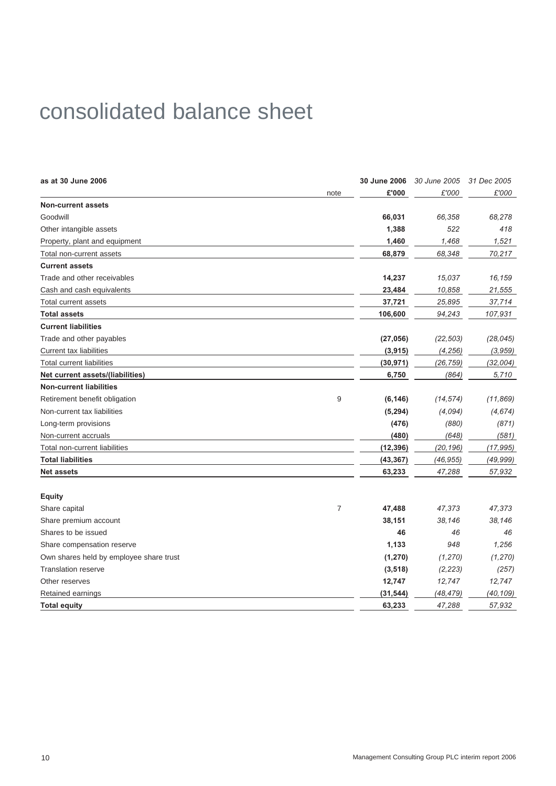### consolidated balance sheet

| as at 30 June 2006                      |                | 30 June 2006 | 30 June 2005 | 31 Dec 2005 |
|-----------------------------------------|----------------|--------------|--------------|-------------|
|                                         | note           | £'000        | £'000        | £'000       |
| <b>Non-current assets</b>               |                |              |              |             |
| Goodwill                                |                | 66,031       | 66,358       | 68,278      |
| Other intangible assets                 |                | 1,388        | 522          | 418         |
| Property, plant and equipment           |                | 1,460        | 1,468        | 1,521       |
| Total non-current assets                |                | 68,879       | 68,348       | 70,217      |
| <b>Current assets</b>                   |                |              |              |             |
| Trade and other receivables             |                | 14,237       | 15,037       | 16,159      |
| Cash and cash equivalents               |                | 23,484       | 10,858       | 21,555      |
| <b>Total current assets</b>             |                | 37,721       | 25,895       | 37,714      |
| <b>Total assets</b>                     |                | 106,600      | 94,243       | 107,931     |
| <b>Current liabilities</b>              |                |              |              |             |
| Trade and other payables                |                | (27, 056)    | (22, 503)    | (28, 045)   |
| <b>Current tax liabilities</b>          |                | (3,915)      | (4, 256)     | (3,959)     |
| Total current liabilities               |                | (30, 971)    | (26,759)     | (32,004)    |
| Net current assets/(liabilities)        |                | 6,750        | (864)        | 5,710       |
| <b>Non-current liabilities</b>          |                |              |              |             |
| Retirement benefit obligation           | 9              | (6, 146)     | (14, 574)    | (11, 869)   |
| Non-current tax liabilities             |                | (5, 294)     | (4,094)      | (4, 674)    |
| Long-term provisions                    |                | (476)        | (880)        | (871)       |
| Non-current accruals                    |                | (480)        | (648)        | (581)       |
| Total non-current liabilities           |                | (12, 396)    | (20, 196)    | (17, 995)   |
| <b>Total liabilities</b>                |                | (43, 367)    | (46, 955)    | (49, 999)   |
| <b>Net assets</b>                       |                | 63,233       | 47,288       | 57,932      |
| <b>Equity</b>                           |                |              |              |             |
| Share capital                           | $\overline{7}$ | 47,488       | 47,373       | 47,373      |
| Share premium account                   |                | 38,151       | 38,146       | 38,146      |
| Shares to be issued                     |                | 46           | 46           | 46          |
| Share compensation reserve              |                | 1,133        | 948          | 1,256       |
| Own shares held by employee share trust |                | (1, 270)     | (1, 270)     | (1, 270)    |
| <b>Translation reserve</b>              |                | (3,518)      | (2, 223)     | (257)       |
| Other reserves                          |                | 12,747       | 12,747       | 12,747      |
| Retained earnings                       |                | (31, 544)    | (48, 479)    | (40, 109)   |
| Total equity                            |                | 63,233       | 47,288       | 57,932      |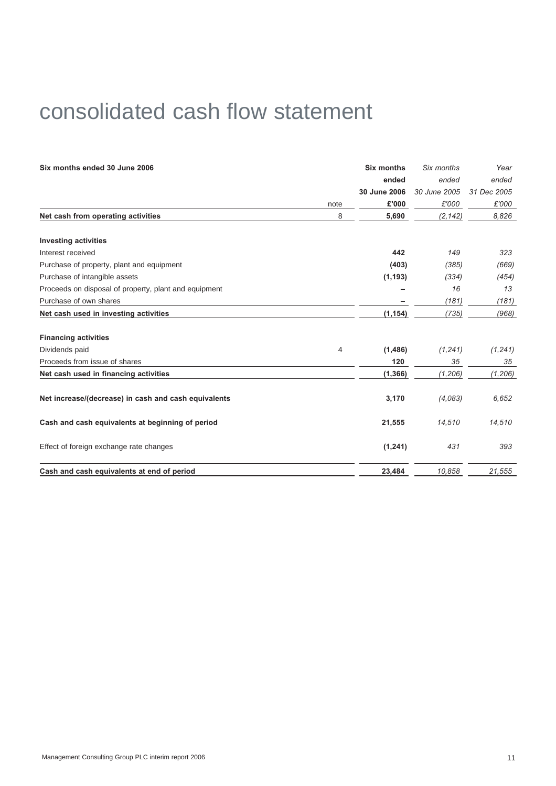### consolidated cash flow statement

| Six months ended 30 June 2006                         |      | <b>Six months</b> | Six months   | Year        |
|-------------------------------------------------------|------|-------------------|--------------|-------------|
|                                                       |      | ended             | ended        | ended       |
|                                                       |      | 30 June 2006      | 30 June 2005 | 31 Dec 2005 |
|                                                       | note | £'000             | £'000        | £'000       |
| Net cash from operating activities                    | 8    | 5,690             | (2, 142)     | 8,826       |
| <b>Investing activities</b>                           |      |                   |              |             |
| Interest received                                     |      | 442               | 149          | 323         |
| Purchase of property, plant and equipment             |      | (403)             | (385)        | (669)       |
| Purchase of intangible assets                         |      | (1, 193)          | (334)        | (454)       |
| Proceeds on disposal of property, plant and equipment |      |                   | 16           | 13          |
| Purchase of own shares                                |      |                   | (181)        | (181)       |
| Net cash used in investing activities                 |      | (1, 154)          | (735)        | (968)       |
| <b>Financing activities</b>                           |      |                   |              |             |
| Dividends paid                                        | 4    | (1,486)           | (1, 241)     | (1, 241)    |
| Proceeds from issue of shares                         |      | 120               | 35           | 35          |
| Net cash used in financing activities                 |      | (1, 366)          | (1, 206)     | (1, 206)    |
| Net increase/(decrease) in cash and cash equivalents  |      | 3,170             | (4,083)      | 6,652       |
| Cash and cash equivalents at beginning of period      |      | 21,555            | 14,510       | 14,510      |
| Effect of foreign exchange rate changes               |      | (1, 241)          | 431          | 393         |
| Cash and cash equivalents at end of period            |      | 23.484            | 10.858       | 21,555      |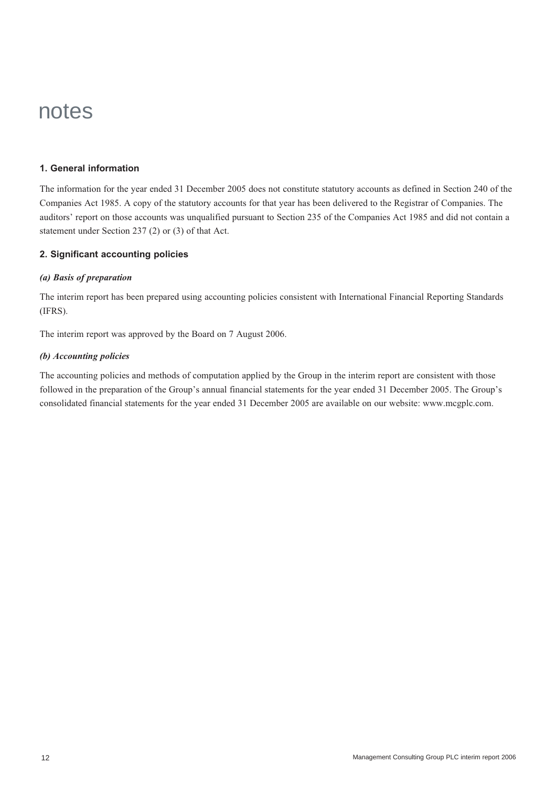### notes

### **1. General information**

The information for the year ended 31 December 2005 does not constitute statutory accounts as defined in Section 240 of the Companies Act 1985. A copy of the statutory accounts for that year has been delivered to the Registrar of Companies. The auditors' report on those accounts was unqualified pursuant to Section 235 of the Companies Act 1985 and did not contain a statement under Section 237 (2) or (3) of that Act.

### **2. Significant accounting policies**

### *(a) Basis of preparation*

The interim report has been prepared using accounting policies consistent with International Financial Reporting Standards (IFRS).

The interim report was approved by the Board on 7 August 2006.

### *(b) Accounting policies*

The accounting policies and methods of computation applied by the Group in the interim report are consistent with those followed in the preparation of the Group's annual financial statements for the year ended 31 December 2005. The Group's consolidated financial statements for the year ended 31 December 2005 are available on our website: www.mcgplc.com.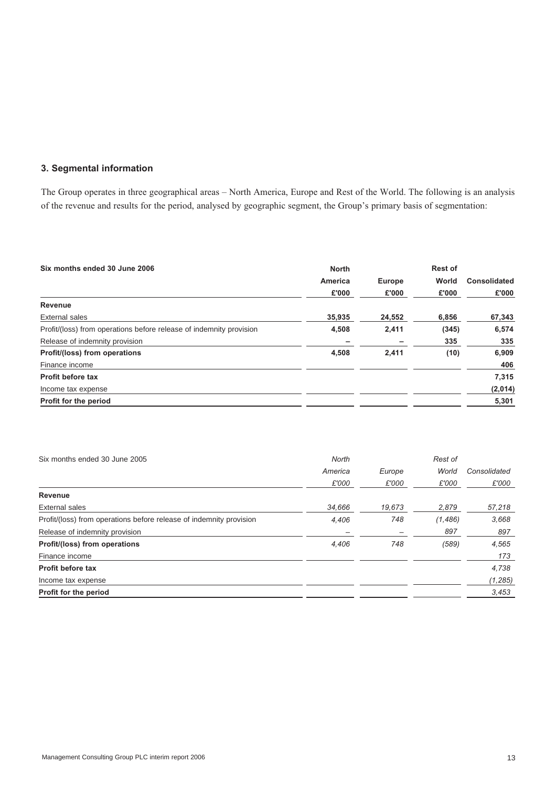### **3. Segmental information**

The Group operates in three geographical areas – North America, Europe and Rest of the World. The following is an analysis of the revenue and results for the period, analysed by geographic segment, the Group's primary basis of segmentation:

| Six months ended 30 June 2006                                       | <b>North</b> |               | <b>Rest of</b> |              |
|---------------------------------------------------------------------|--------------|---------------|----------------|--------------|
|                                                                     | America      | <b>Europe</b> | World          | Consolidated |
|                                                                     | £'000        | £'000         | £'000          | £'000        |
| <b>Revenue</b>                                                      |              |               |                |              |
| External sales                                                      | 35,935       | 24,552        | 6.856          | 67,343       |
| Profit/(loss) from operations before release of indemnity provision | 4,508        | 2,411         | (345)          | 6,574        |
| Release of indemnity provision                                      |              |               | 335            | 335          |
| Profit/(loss) from operations                                       | 4,508        | 2,411         | (10)           | 6,909        |
| Finance income                                                      |              |               |                | 406          |
| Profit before tax                                                   |              |               |                | 7,315        |
| Income tax expense                                                  |              |               |                | (2,014)      |
| Profit for the period                                               |              |               |                | 5,301        |

| Six months ended 30 June 2005                                       | North   |        | Rest of |              |
|---------------------------------------------------------------------|---------|--------|---------|--------------|
|                                                                     | America | Europe | World   | Consolidated |
|                                                                     | £'000   | £'000  | £'000   | £'000        |
| Revenue                                                             |         |        |         |              |
| External sales                                                      | 34.666  | 19.673 | 2.879   | 57,218       |
| Profit/(loss) from operations before release of indemnity provision | 4,406   | 748    | (1,486) | 3,668        |
| Release of indemnity provision                                      |         |        | 897     | 897          |
| Profit/(loss) from operations                                       | 4,406   | 748    | (589)   | 4,565        |
| Finance income                                                      |         |        |         | 173          |
| Profit before tax                                                   |         |        |         | 4,738        |
| Income tax expense                                                  |         |        |         | (1, 285)     |
| Profit for the period                                               |         |        |         | 3,453        |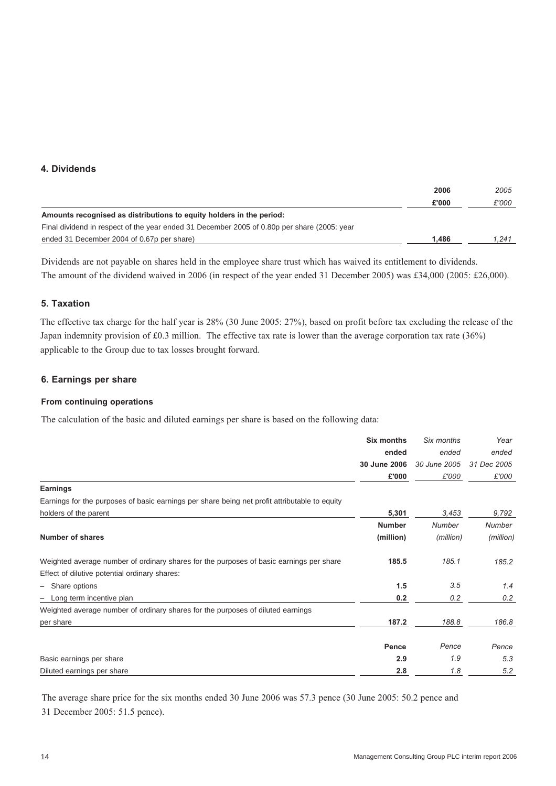### **4. Dividends**

|                                                                                             | 2006  | 2005  |
|---------------------------------------------------------------------------------------------|-------|-------|
|                                                                                             | £'000 | £'000 |
| Amounts recognised as distributions to equity holders in the period:                        |       |       |
| Final dividend in respect of the year ended 31 December 2005 of 0.80p per share (2005: year |       |       |
| ended 31 December 2004 of 0.67p per share)                                                  | 1.486 | 1.241 |

Dividends are not payable on shares held in the employee share trust which has waived its entitlement to dividends. The amount of the dividend waived in 2006 (in respect of the year ended 31 December 2005) was £34,000 (2005: £26,000).

### **5. Taxation**

The effective tax charge for the half year is 28% (30 June 2005: 27%), based on profit before tax excluding the release of the Japan indemnity provision of £0.3 million. The effective tax rate is lower than the average corporation tax rate (36%) applicable to the Group due to tax losses brought forward.

#### **6. Earnings per share**

#### **From continuing operations**

The calculation of the basic and diluted earnings per share is based on the following data:

|                                                                                               | Six months    | Six months   | Year        |
|-----------------------------------------------------------------------------------------------|---------------|--------------|-------------|
|                                                                                               | ended         | ended        | ended       |
|                                                                                               | 30 June 2006  | 30 June 2005 | 31 Dec 2005 |
|                                                                                               | £'000         | £'000        | £'000       |
| <b>Earnings</b>                                                                               |               |              |             |
| Earnings for the purposes of basic earnings per share being net profit attributable to equity |               |              |             |
| holders of the parent                                                                         | 5,301         | 3,453        | 9,792       |
|                                                                                               | <b>Number</b> | Number       | Number      |
| Number of shares                                                                              | (million)     | (million)    | (million)   |
| Weighted average number of ordinary shares for the purposes of basic earnings per share       | 185.5         | 185.1        | 185.2       |
| Effect of dilutive potential ordinary shares:                                                 |               |              |             |
| - Share options                                                                               | 1.5           | 3.5          | 1.4         |
| Long term incentive plan<br>$\qquad \qquad -$                                                 | 0.2           | 0.2          | 0.2         |
| Weighted average number of ordinary shares for the purposes of diluted earnings               |               |              |             |
| per share                                                                                     | 187.2         | 188.8        | 186.8       |
|                                                                                               | Pence         | Pence        | Pence       |
| Basic earnings per share                                                                      | 2.9           | 1.9          | 5.3         |
| Diluted earnings per share                                                                    | 2.8           | 1.8          | 5.2         |

The average share price for the six months ended 30 June 2006 was 57.3 pence (30 June 2005: 50.2 pence and 31 December 2005: 51.5 pence).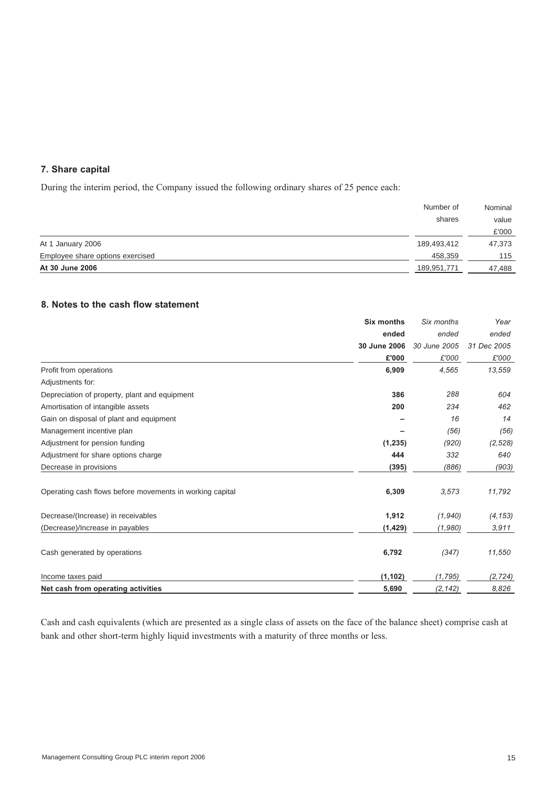### **7. Share capital**

During the interim period, the Company issued the following ordinary shares of 25 pence each:

|                                  | Number of   | Nominal |
|----------------------------------|-------------|---------|
|                                  | shares      | value   |
|                                  |             | £'000   |
| At 1 January 2006                | 189,493,412 | 47,373  |
| Employee share options exercised | 458,359     | 115     |
| At 30 June 2006                  | 189,951,771 | 47,488  |

### **8. Notes to the cash flow statement**

|                                                          | Six months   | Six months   | Year        |
|----------------------------------------------------------|--------------|--------------|-------------|
|                                                          | ended        | ended        | ended       |
|                                                          | 30 June 2006 | 30 June 2005 | 31 Dec 2005 |
|                                                          | £'000        | £'000        | £'000       |
| Profit from operations                                   | 6,909        | 4,565        | 13,559      |
| Adjustments for:                                         |              |              |             |
| Depreciation of property, plant and equipment            | 386          | 288          | 604         |
| Amortisation of intangible assets                        | 200          | 234          | 462         |
| Gain on disposal of plant and equipment                  |              | 16           | 14          |
| Management incentive plan                                |              | (56)         | (56)        |
| Adjustment for pension funding                           | (1, 235)     | (920)        | (2, 528)    |
| Adjustment for share options charge                      | 444          | 332          | 640         |
| Decrease in provisions                                   | (395)        | (886)        | (903)       |
| Operating cash flows before movements in working capital | 6,309        | 3.573        | 11,792      |
| Decrease/(Increase) in receivables                       | 1,912        | (1,940)      | (4, 153)    |
| (Decrease)/Increase in payables                          | (1, 429)     | (1,980)      | 3,911       |
| Cash generated by operations                             | 6,792        | (347)        | 11,550      |
| Income taxes paid                                        | (1, 102)     | (1, 795)     | (2, 724)    |
| Net cash from operating activities                       | 5,690        | (2, 142)     | 8,826       |

Cash and cash equivalents (which are presented as a single class of assets on the face of the balance sheet) comprise cash at bank and other short-term highly liquid investments with a maturity of three months or less.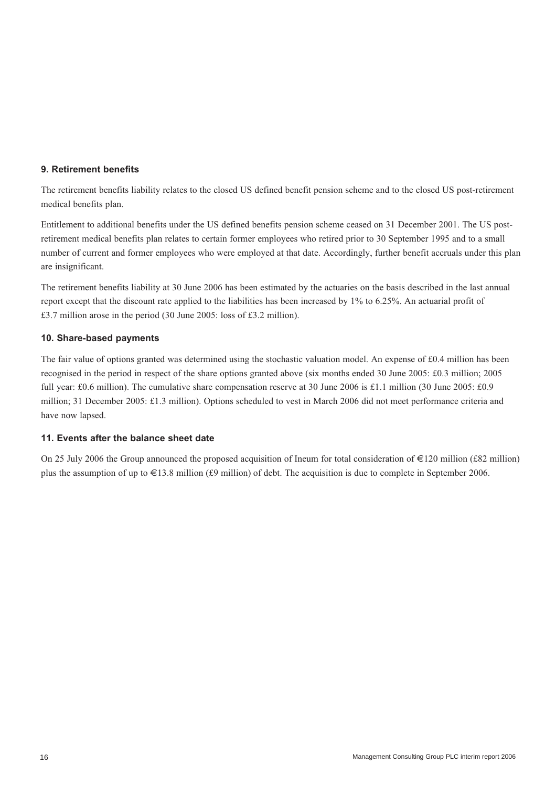### **9. Retirement benefits**

The retirement benefits liability relates to the closed US defined benefit pension scheme and to the closed US post-retirement medical benefits plan.

Entitlement to additional benefits under the US defined benefits pension scheme ceased on 31 December 2001. The US postretirement medical benefits plan relates to certain former employees who retired prior to 30 September 1995 and to a small number of current and former employees who were employed at that date. Accordingly, further benefit accruals under this plan are insignificant.

The retirement benefits liability at 30 June 2006 has been estimated by the actuaries on the basis described in the last annual report except that the discount rate applied to the liabilities has been increased by 1% to 6.25%. An actuarial profit of £3.7 million arose in the period (30 June 2005: loss of £3.2 million).

### **10. Share-based payments**

The fair value of options granted was determined using the stochastic valuation model. An expense of £0.4 million has been recognised in the period in respect of the share options granted above (six months ended 30 June 2005: £0.3 million; 2005 full year: £0.6 million). The cumulative share compensation reserve at 30 June 2006 is £1.1 million (30 June 2005: £0.9 million; 31 December 2005: £1.3 million). Options scheduled to vest in March 2006 did not meet performance criteria and have now lapsed.

### **11. Events after the balance sheet date**

On 25 July 2006 the Group announced the proposed acquisition of Ineum for total consideration of  $\epsilon$ 120 million (£82 million) plus the assumption of up to  $\in$ 13.8 million (£9 million) of debt. The acquisition is due to complete in September 2006.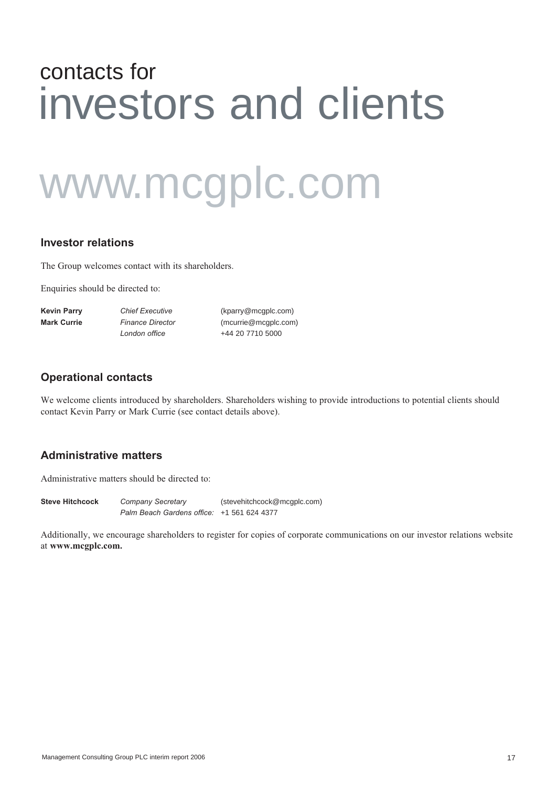## contacts for investors and clients

# www.mcgplc.com

### **Investor relations**

The Group welcomes contact with its shareholders.

Enquiries should be directed to:

| <b>Kevin Parry</b> | <b>Chief Executive</b>  | (kparry@mcgplc.com) |
|--------------------|-------------------------|---------------------|
| <b>Mark Currie</b> | <b>Finance Director</b> | (mcurve@mcgplc.com) |
|                    | London office           | +44 20 7710 5000    |

### **Operational contacts**

We welcome clients introduced by shareholders. Shareholders wishing to provide introductions to potential clients should contact Kevin Parry or Mark Currie (see contact details above).

### **Administrative matters**

Administrative matters should be directed to:

**Steve Hitchcock** *Company Secretary* (stevehitchcock@mcgplc.com) *Palm Beach Gardens office:* +1 561 624 4377

Additionally, we encourage shareholders to register for copies of corporate communications on our investor relations website at **www.mcgplc.com.**